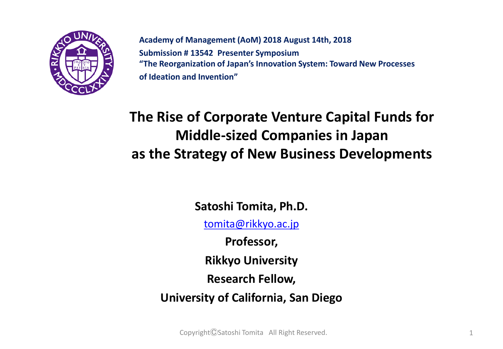

**Academy of Management (AoM) 2018 August 14th, 2018 Submission # 13542 Presenter Symposium "The Reorganization of Japan's Innovation System: Toward New Processes of Ideation and Invention"** 

#### **The Rise of Corporate Venture Capital Funds for Middle-sized Companies in Japan as the Strategy of New Business Developments**

**Satoshi Tomita, Ph.D.** [tomita@rikkyo.ac.jp](mailto:tomita@rikkyo.ac.jp)

**Professor,** 

**Rikkyo University**

**Research Fellow,** 

**University of California, San Diego**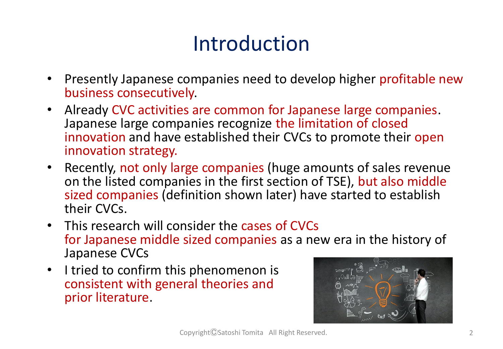# Introduction

- Presently Japanese companies need to develop higher profitable new business consecutively.
- Already CVC activities are common for Japanese large companies. Japanese large companies recognize the limitation of closed innovation and have established their CVCs to promote their open innovation strategy.
- Recently, not only large companies (huge amounts of sales revenue on the listed companies in the first section of TSE), but also middle sized companies (definition shown later) have started to establish their CVCs.
- This research will consider the cases of CVCs for Japanese middle sized companies as a new era in the history of Japanese CVCs
- I tried to confirm this phenomenon is consistent with general theories and prior literature.

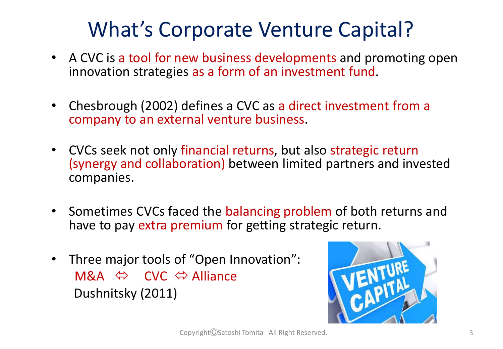# What's Corporate Venture Capital?

- A CVC is a tool for new business developments and promoting open innovation strategies as a form of an investment fund.
- Chesbrough (2002) defines a CVC as a direct investment from a company to an external venture business.
- CVCs seek not only financial returns, but also strategic return (synergy and collaboration) between limited partners and invested companies.
- Sometimes CVCs faced the balancing problem of both returns and have to pay extra premium for getting strategic return.
- Three major tools of "Open Innovation": M&A  $\Leftrightarrow$  CVC  $\Leftrightarrow$  Alliance Dushnitsky (2011)

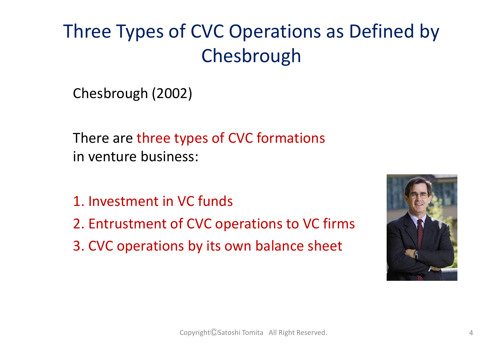# Three Types of CVC Operations as Defined by Chesbrough

Chesbrough (2002)

There are three types of CVC formations in venture business:

- 1. Investment in VC funds
- 2. Entrustment of CVC operations to VC firms
- 3. CVC operations by its own balance sheet

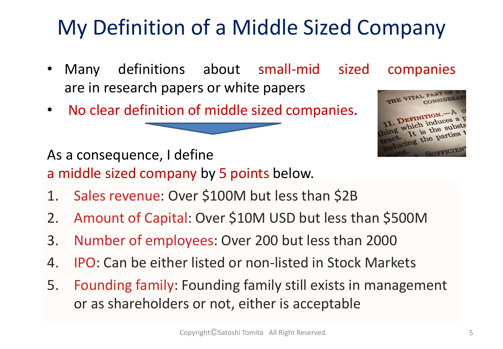# My Definition of a Middle Sized Company

- Many definitions about small-mid sized companies are in research papers or white papers
- No clear definition of middle sized companies.



As a consequence, I define

a middle sized company by 5 points below.

- 1. Sales revenue: Over \$100M but less than \$2B
- 2. Amount of Capital: Over \$10M USD but less than \$500M
- 3. Number of employees: Over 200 but less than 2000
- 4. IPO: Can be either listed or non-listed in Stock Markets
- 5. Founding family: Founding family still exists in management or as shareholders or not, either is acceptable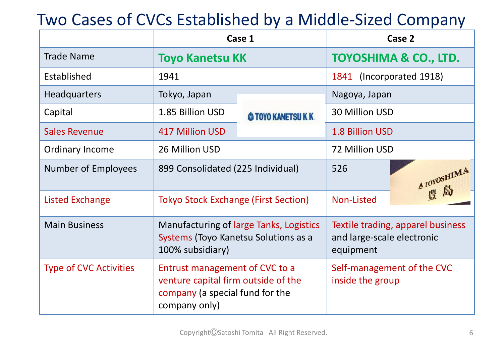#### Two Cases of CVCs Established by a Middle-Sized Company

|                               | Case 1                                                                                                                    |                     | Case 2                                                                       |             |
|-------------------------------|---------------------------------------------------------------------------------------------------------------------------|---------------------|------------------------------------------------------------------------------|-------------|
| <b>Trade Name</b>             | <b>Toyo Kanetsu KK</b>                                                                                                    |                     | TOYOSHIMA & CO., LTD.                                                        |             |
| Established                   | 1941                                                                                                                      |                     | 1841 (Incorporated 1918)                                                     |             |
| <b>Headquarters</b>           | Tokyo, Japan                                                                                                              |                     | Nagoya, Japan                                                                |             |
| Capital                       | 1.85 Billion USD                                                                                                          | @ TOYO KANETSU K.K. | 30 Million USD                                                               |             |
| <b>Sales Revenue</b>          | <b>417 Million USD</b>                                                                                                    |                     | 1.8 Billion USD                                                              |             |
| <b>Ordinary Income</b>        | 26 Million USD                                                                                                            |                     | 72 Million USD                                                               |             |
| <b>Number of Employees</b>    | 899 Consolidated (225 Individual)                                                                                         |                     | 526                                                                          | A TOYOSHIMA |
| <b>Listed Exchange</b>        | <b>Tokyo Stock Exchange (First Section)</b>                                                                               |                     | Non-Listed                                                                   |             |
| <b>Main Business</b>          | Manufacturing of large Tanks, Logistics<br>Systems (Toyo Kanetsu Solutions as a<br>100% subsidiary)                       |                     | Textile trading, apparel business<br>and large-scale electronic<br>equipment |             |
| <b>Type of CVC Activities</b> | Entrust management of CVC to a<br>venture capital firm outside of the<br>company (a special fund for the<br>company only) |                     | Self-management of the CVC<br>inside the group                               |             |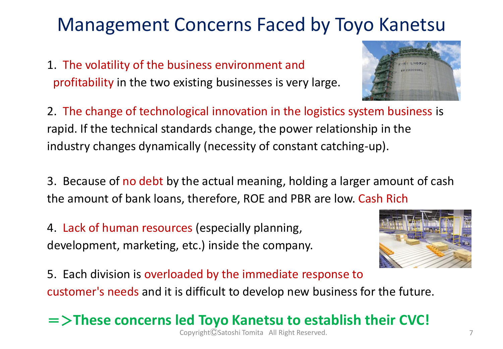### Management Concerns Faced by Toyo Kanetsu

1. The volatility of the business environment and profitability in the two existing businesses is very large.



2. The change of technological innovation in the logistics system business is rapid. If the technical standards change, the power relationship in the industry changes dynamically (necessity of constant catching-up).

3. Because of no debt by the actual meaning, holding a larger amount of cash the amount of bank loans, therefore, ROE and PBR are low. Cash Rich

4. Lack of human resources (especially planning, development, marketing, etc.) inside the company.



5. Each division is overloaded by the immediate response to customer's needs and it is difficult to develop new business for the future.

=>**These concerns led Toyo Kanetsu to establish their CVC!**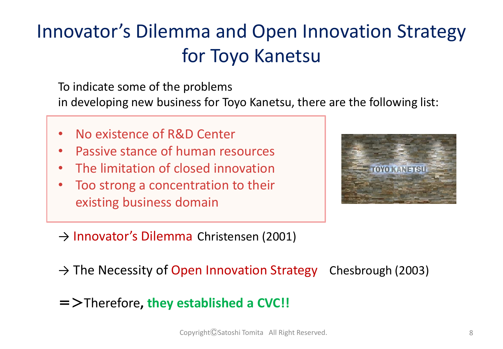# Innovator's Dilemma and Open Innovation Strategy for Toyo Kanetsu

To indicate some of the problems

in developing new business for Toyo Kanetsu, there are the following list:

- No existence of R&D Center
- Passive stance of human resources
- The limitation of closed innovation
- Too strong a concentration to their existing business domain



- → Innovator's Dilemma Christensen (2001)
- $\rightarrow$  The Necessity of Open Innovation Strategy Chesbrough (2003)
- =>Therefore**, they established a CVC!!**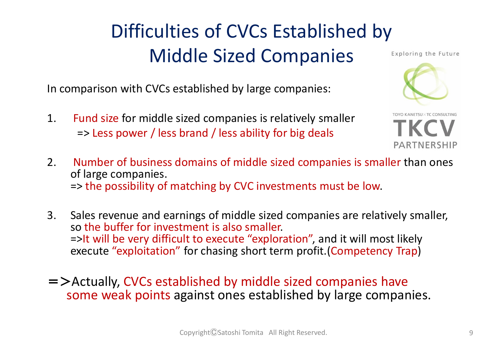# Difficulties of CVCs Established by Middle Sized Companies

In comparison with CVCs established by large companies:

1. Fund size for middle sized companies is relatively smaller => Less power / less brand / less ability for big deals

Exploring the Future



O KANETSUX TC CONSULTING PARTNERSHIP

- 2. Number of business domains of middle sized companies is smaller than ones of large companies. => the possibility of matching by CVC investments must be low.
- 3. Sales revenue and earnings of middle sized companies are relatively smaller, so the buffer for investment is also smaller. =>It will be very difficult to execute "exploration", and it will most likely execute "exploitation" for chasing short term profit.(Competency Trap)
- =>Actually, CVCs established by middle sized companies have some weak points against ones established by large companies.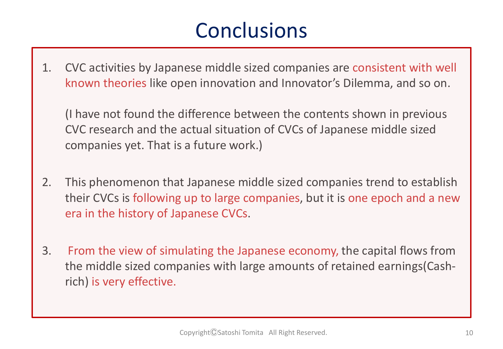## **Conclusions**

1. CVC activities by Japanese middle sized companies are consistent with well known theories like open innovation and Innovator's Dilemma, and so on.

(I have not found the difference between the contents shown in previous CVC research and the actual situation of CVCs of Japanese middle sized companies yet. That is a future work.)

- 2. This phenomenon that Japanese middle sized companies trend to establish their CVCs is following up to large companies, but it is one epoch and a new era in the history of Japanese CVCs.
- 3. From the view of simulating the Japanese economy, the capital flows from the middle sized companies with large amounts of retained earnings(Cashrich) is very effective.